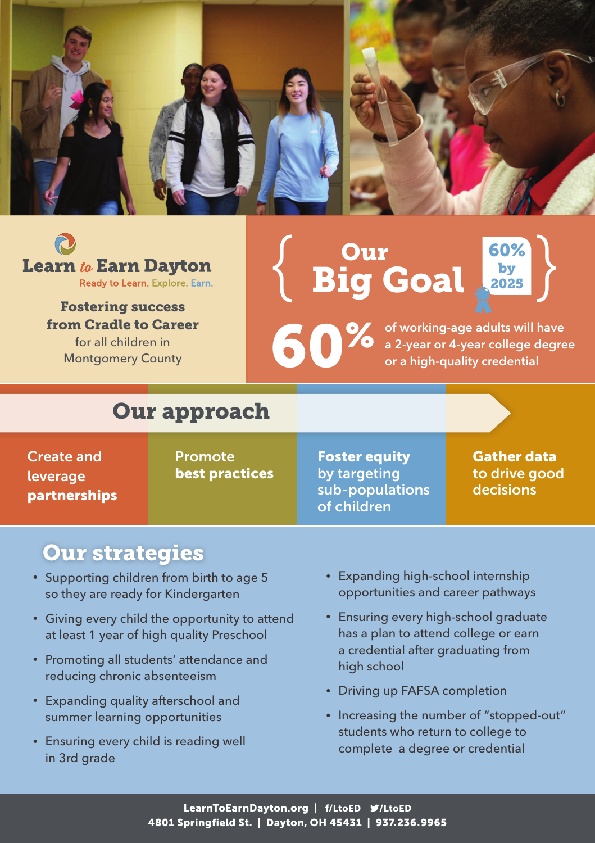



Fostering success from Cradle to Career for all children in Montgomery County

# Our Big Goal  $\left\{\begin{array}{c} \text{Our} \\ \text{Big Goal} \\ \end{array}\right\}$

60%

of working-age adults will have a 2-year or 4-year college degree or a high-quality credential

 $60%$ <br>by<br>2025

## Our approach

Create and leverage partnerships

Promote best practices Foster equity by targeting sub-populations of children

Gather data to drive good decisions

#### Our strategies

- Supporting children from birth to age 5 so they are ready for Kindergarten
- Giving every child the opportunity to attend at least 1 year of high quality Preschool
- Promoting all students' attendance and reducing chronic absenteeism
- Expanding quality afterschool and summer learning opportunities
- Ensuring every child is reading well in 3rd grade
- Expanding high-school internship opportunities and career pathways
- Ensuring every high-school graduate has a plan to attend college or earn a credential after graduating from high school
- Driving up FAFSA completion
- Increasing the number of "stopped-out" students who return to college to complete a degree or credential